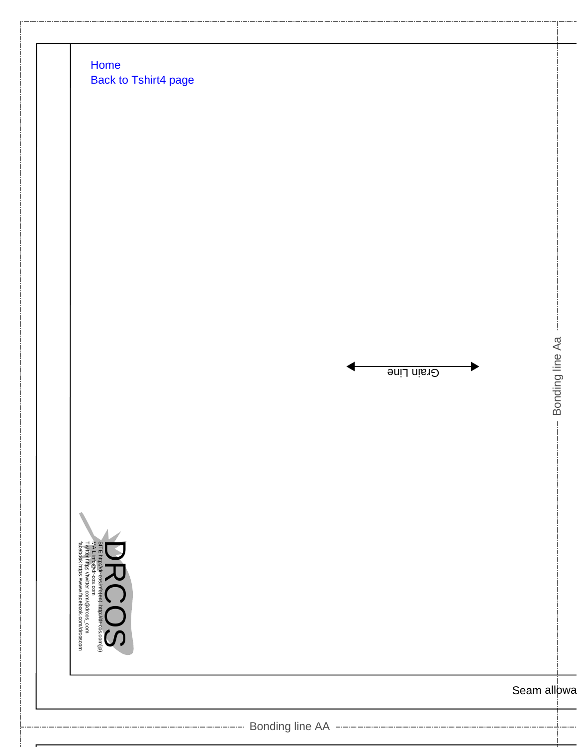





Seam allowa

Bonding line Aa

Bonding line Aa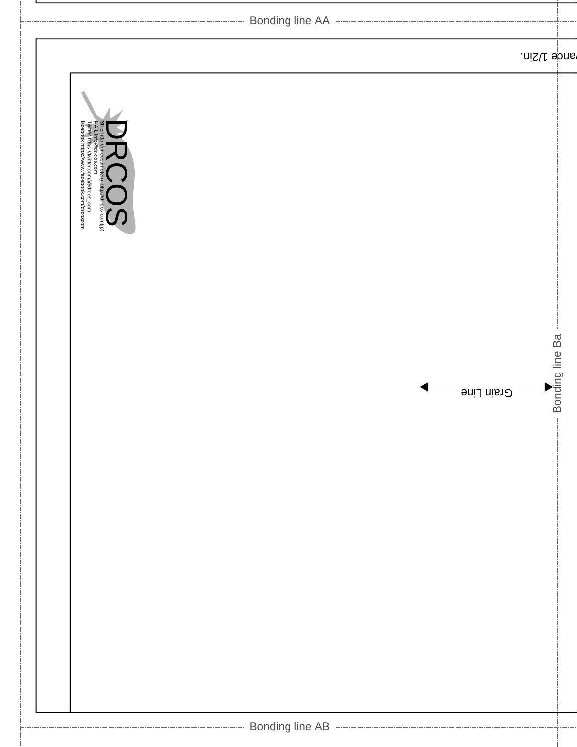| ---------------- Bonding line AA --------------------------                                                                                                       |                    |  |
|-------------------------------------------------------------------------------------------------------------------------------------------------------------------|--------------------|--|
|                                                                                                                                                                   | ande 1/2in.        |  |
| SITE http://dr-cos.info(en). http://dr-cos.com/jp)<br>MALL info@dr-cos.com<br>Twitter https://wwtter.com/@drcos_com<br>facebook https://www.facebook.com/drcoscom |                    |  |
| Grain Line                                                                                                                                                        | -- Bonding line Ba |  |
| ------------------------------ Bonding line AB ---------------------------------                                                                                  |                    |  |

**-**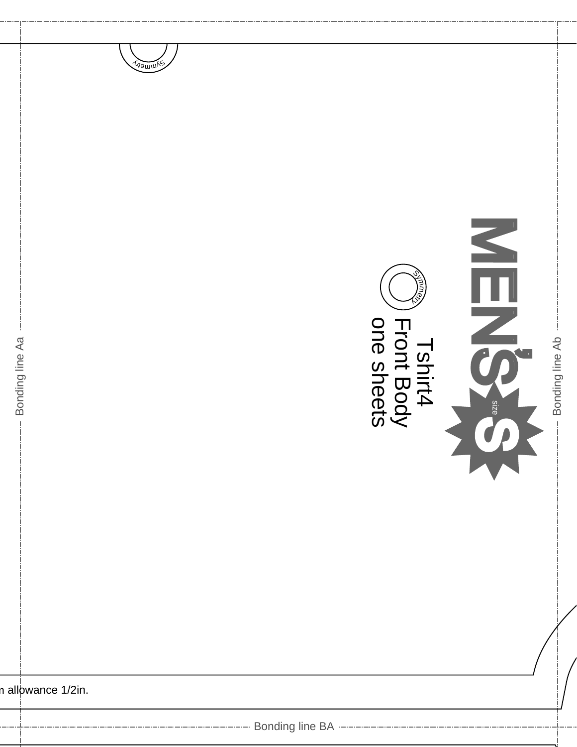



n allowance 1/2in.

Bonding line Aa

----------- Bonding line BA ----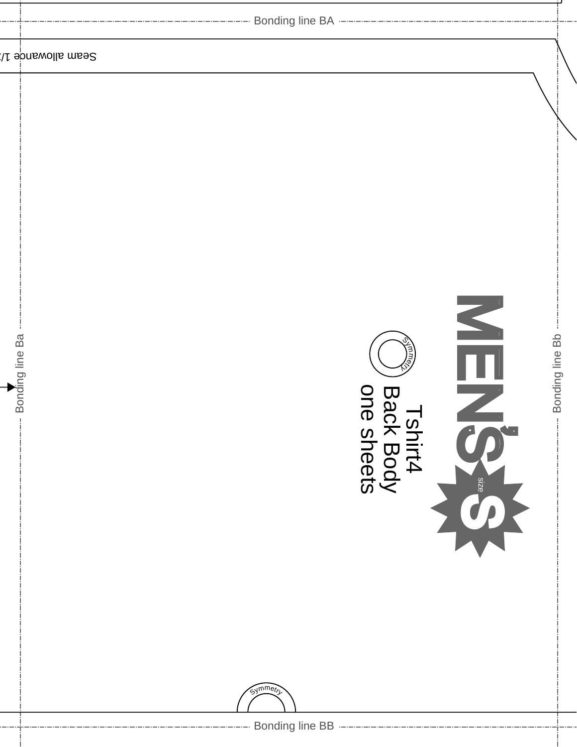| -------------------------- Bonding line BA ----------------------------                           |                 |
|---------------------------------------------------------------------------------------------------|-----------------|
| Seam allowande 1/                                                                                 |                 |
| NHN<br>Bonding line Ba<br>m⊚<br><b>Bacl</b><br>$\frac{1}{1}$<br>$\boldsymbol{\omega}$             | Bonding line Bb |
| shirt4<br><b>X Body</b><br>Sheets<br>size<br>Symmetri<br>--------- Bonding line BB -------------- |                 |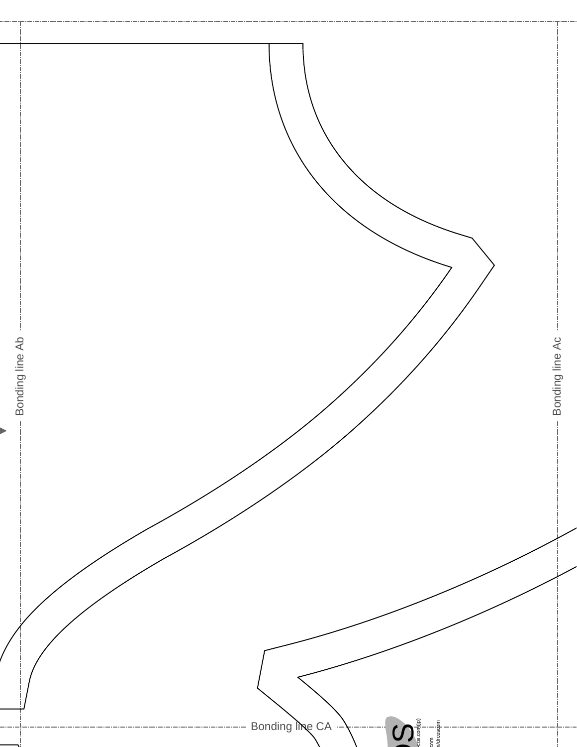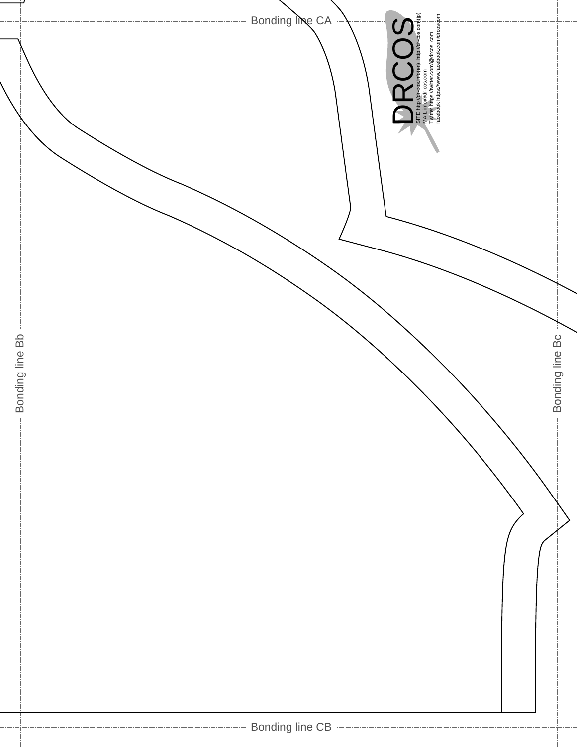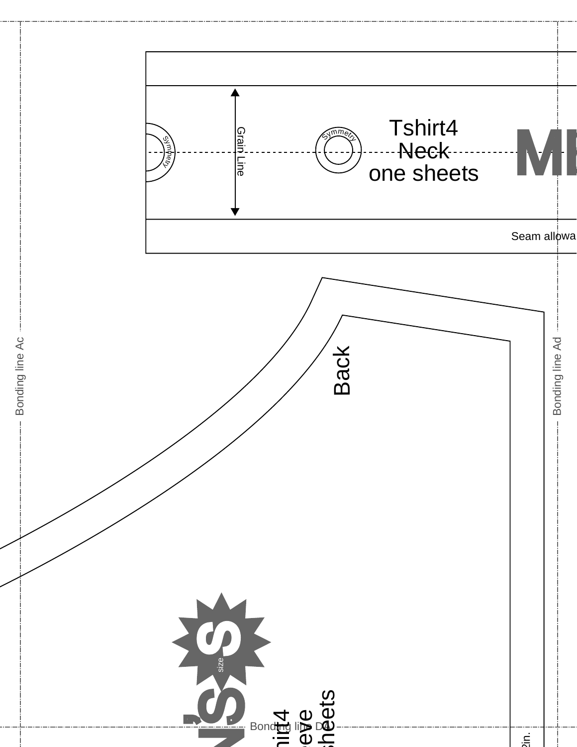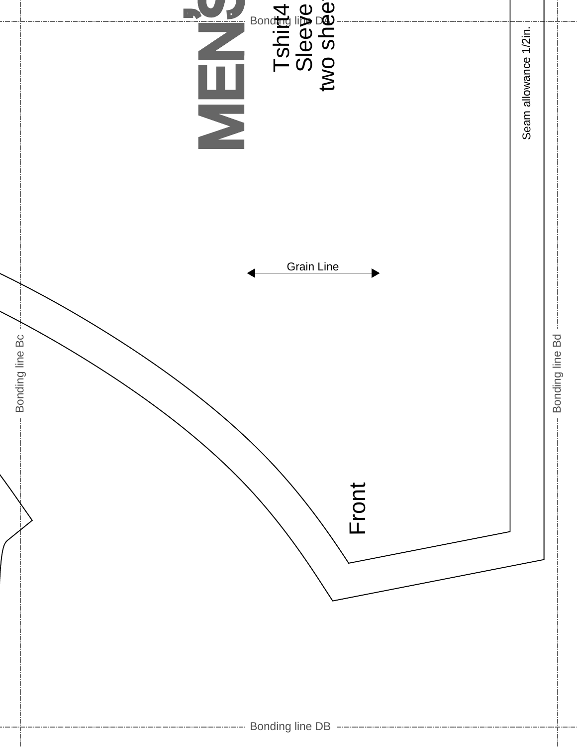